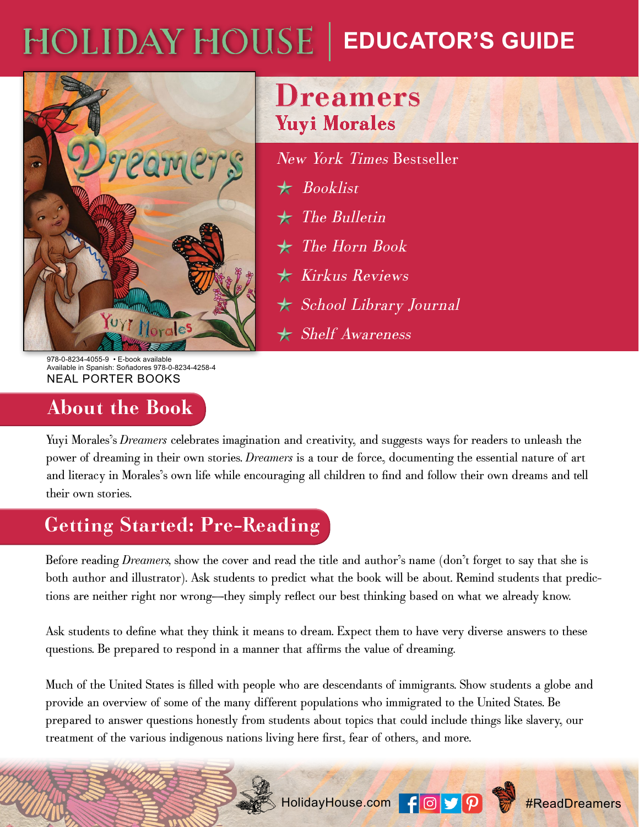# HOLIDAY HOUSE | EDUCATOR'S GUIDE



978-0-8234-4055-9 • E-book available Available in Spanish: Soñadores 978-0-8234-4258-4 NEAL PORTER BOOKS

### **About the Book**

# **Dreamers Yuyi Morales**

New York Times Bestseller Booklist ★ The Bulletin ★ The Horn Book ★ **★ Kirkus Reviews**  School Library Journal ★ Shelf Awareness ★

Yuyi Morales's *Dreamers* celebrates imagination and creativity, and suggests ways for readers to unleash the power of dreaming in their own stories. *Dreamers* is a tour de force, documenting the essential nature of art and literacy in Morales's own life while encouraging all children to find and follow their own dreams and tell their own stories.

# **Getting Started: Pre-Reading**

Before reading *Dreamers,* show the cover and read the title and author's name (don't forget to say that she is both author and illustrator). Ask students to predict what the book will be about. Remind students that predictions are neither right nor wrong—they simply reflect our best thinking based on what we already know.

Ask students to define what they think it means to dream. Expect them to have very diverse answers to these questions. Be prepared to respond in a manner that affirms the value of dreaming.

Much of the United States is filled with people who are descendants of immigrants. Show students a globe and provide an overview of some of the many different populations who immigrated to the United States. Be prepared to answer questions honestly from students about topics that could include things like slavery, our treatment of the various indigenous nations living here first, fear of others, and more.